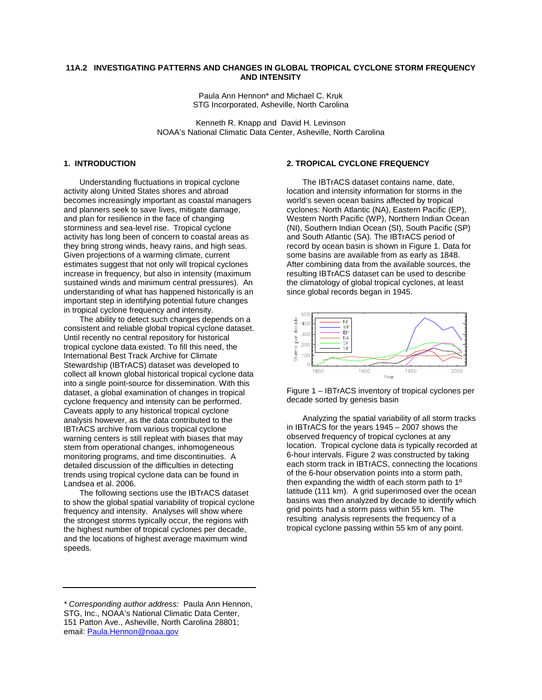## **11A.2 INVESTIGATING PATTERNS AND CHANGES IN GLOBAL TROPICAL CYCLONE STORM FREQUENCY AND INTENSITY**

Paula Ann Hennon\* and Michael C. Kruk STG Incorporated, Asheville, North Carolina

Kenneth R. Knapp and David H. Levinson NOAA's National Climatic Data Center, Asheville, North Carolina

### **1. INTRODUCTION**

Understanding fluctuations in tropical cyclone activity along United States shores and abroad becomes increasingly important as coastal managers and planners seek to save lives, mitigate damage, and plan for resilience in the face of changing storminess and sea-level rise. Tropical cyclone activity has long been of concern to coastal areas as they bring strong winds, heavy rains, and high seas. Given projections of a warming climate, current estimates suggest that not only will tropical cyclones increase in frequency, but also in intensity (maximum sustained winds and minimum central pressures). An understanding of what has happened historically is an important step in identifying potential future changes in tropical cyclone frequency and intensity.

 The ability to detect such changes depends on a consistent and reliable global tropical cyclone dataset. Until recently no central repository for historical tropical cyclone data existed. To fill this need, the International Best Track Archive for Climate Stewardship (IBTrACS) dataset was developed to collect all known global historical tropical cyclone data into a single point-source for dissemination. With this dataset, a global examination of changes in tropical cyclone frequency and intensity can be performed. Caveats apply to any historical tropical cyclone analysis however, as the data contributed to the IBTrACS archive from various tropical cyclone warning centers is still repleat with biases that may stem from operational changes, inhomogeneous monitoring programs, and time discontinuities. A detailed discussion of the difficulties in detecting trends using tropical cyclone data can be found in Landsea et al. 2006.

The following sections use the IBTrACS dataset to show the global spatial variability of tropical cyclone frequency and intensity. Analyses will show where the strongest storms typically occur, the regions with the highest number of tropical cyclones per decade, and the locations of highest average maximum wind speeds.

#### **2. TROPICAL CYCLONE FREQUENCY**

The IBTrACS dataset contains name, date, location and intensity information for storms in the world's seven ocean basins affected by tropical cyclones: North Atlantic (NA), Eastern Pacific (EP), Western North Pacific (WP), Northern Indian Ocean (NI), Southern Indian Ocean (SI), South Pacific (SP) and South Atlantic (SA). The IBTrACS period of record by ocean basin is shown in Figure 1. Data for some basins are available from as early as 1848. After combining data from the available sources, the resulting IBTrACS dataset can be used to describe the climatology of global tropical cyclones, at least since global records began in 1945.



Figure 1 – IBTrACS inventory of tropical cyclones per decade sorted by genesis basin

Analyzing the spatial variability of all storm tracks in IBTrACS for the years 1945 – 2007 shows the observed frequency of tropical cyclones at any location. Tropical cyclone data is typically recorded at 6-hour intervals. Figure 2 was constructed by taking each storm track in IBTrACS, connecting the locations of the 6-hour observation points into a storm path, then expanding the width of each storm path to 1º latitude (111 km). A grid superimosed over the ocean basins was then analyzed by decade to identify which grid points had a storm pass within 55 km. The resulting analysis represents the frequency of a tropical cyclone passing within 55 km of any point.

*<sup>\*</sup> Corresponding author address:* Paula Ann Hennon, STG, Inc., NOAA's National Climatic Data Center, 151 Patton Ave., Asheville, North Carolina 28801; email[: Paula.Hennon@noaa.gov](mailto:Paula.Hennon@noaa.gov)